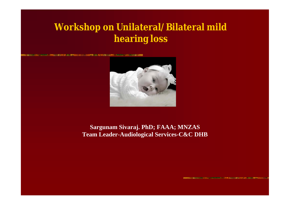## **Workshop on Unilateral/Bilateral mild hearing loss**

小山の大学には、国家のなるとのはまれ、小山の中にいっぽい 小の出会いの間



#### **Sargunam Sivaraj. PhD; FAAA; MNZAS Team Leader-Audiological Services-C&C DHB**

**BENCHART AND RESIDENCE OF A CHART AND A STATE OF A STATE OF A STATE OF A STATE OF A STATE OF A STATE OF A STATE OF A**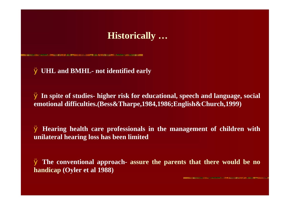### **Historically …**

#### Ø **UHL and BMHL- not identified early**

**SE DE JE KONFINDADO DO JAMENTALIS EN BORDO SE DIAMENTO DE SUS SUS SUS** 

Ø **In spite of studies- higher risk for educational, speech and language, social emotional difficulties.(Bess&Tharpe,1984,1986;English&Church,1999)**

Ø **Hearing health care professionals in the management of children with unilateral hearing loss has been limited**

Ø **The conventional approach- assure the parents that there would be no handicap (Oyler et al 1988)**

**STARTING CONTINUES IN CONTINUES IN THE ASSOCIATION OF STARTING CONTINUES.**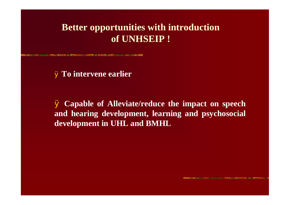### **Better opportunities with introduction of UNHSEIP !**

**START STATE AND RESEARCH CONTINUES IN COLOR OF A STATE OF A SECOND CONTINUES.** 

Ø **To intervene earlier**

Ø **Capable of Alleviate/reduce the impact on speech and hearing development, learning and psychosocial development in UHL and BMHL**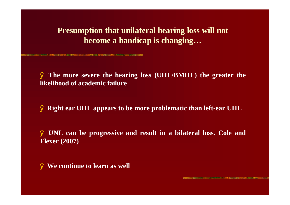#### **Presumption that unilateral hearing loss will not become a handicap is changing…**

Ø **The more severe the hearing loss (UHL/BMHL) the greater the likelihood of academic failure**

Ø **Right ear UHL appears to be more problematic than left-ear UHL**

Ø **UNL can be progressive and result in a bilateral loss. Cole and Flexer (2007)**

Ø **We continue to learn as well**

THE CHARLES COMMUNIST AND LOCATION OF THE VIOLENCE COMPANY OF A STATE OF A REPORT OF CHARLES CONTINUES.

**MARKET CONTRACTOR CONTRACTOR CONTRACTOR IN A SECOND AND STATE CONTRACTOR**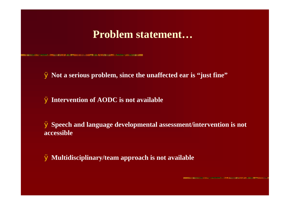### **Problem statement…**

Ø **Not a serious problem, since the unaffected ear is "just fine"**

Ø **Intervention of AODC is not available**

o de 1931 de maio de 1931 de 1940 e o composto de 1950 de 1950 de 1950 de 1950 de 1950 e o composto de 1950 de

Ø **Speech and language developmental assessment/intervention is not accessible**

Ø **Multidisciplinary/team approach is not available**

**NO BRITAIN AND A STORE OF YOUR APPROACH A FURNIT DEVICE AND INTERFERING THE CONSULTING THE CONTRACTOR CONTRACTOR**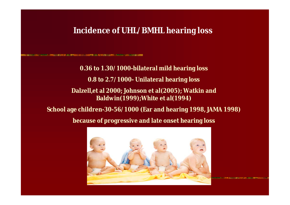#### **Incidence of UHL/BMHL hearing loss**

■ PRINT 2008 2008 単位は個ののの性格はない National Art

**0.36 to 1.30/1000-bilateral mild hearing loss**

**0.8 to 2.7/1000- Unilateral hearing loss**

**Dalzell,et al 2000; Johnson et al(2005); Watkin and Baldwin(1999);White et al(1994)**

**School age children-30-56/1000 (Ear and hearing 1998, JAMA 1998)**

**because of progressive and late onset hearing loss**

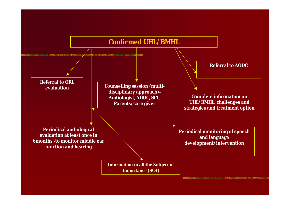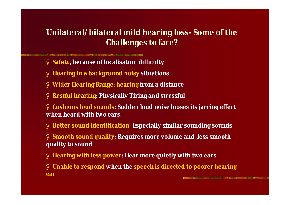### **Unilateral/bilateral mild hearing loss- Some of the Challenges to face?**

- Ø **Safety, because of localisation difficulty**
- Ø **Hearing in a background noisy situations**

AND DESCRIPTION OF REPORT OF A RESIDENCE OF A RESIDENCE OF A RESIDENCE OF A RESIDENCE OF A RESIDENCE OF A RESIDENCE OF A RESIDENCE OF A RESIDENCE OF A RESIDENCE OF A RESIDENCE OF A RESIDENCE OF A RESIDENCE OF A RESIDENCE O

- Ø **Wider Hearing Range: hearing from a distance**
- Ø **Restful hearing: Physically Tiring and stressful**
- Ø **Cushions loud sounds: Sudden loud noise looses its jarring effect when heard with two ears.**
- Ø **Better sound identification: Especially similar sounding sounds**
- Ø **Smooth sound quality: Requires more volume and less smooth quality to sound**
- Ø **Hearing with less power: Hear more quietly with two ears**
- Ø **Unable to respond when the speech is directed to poorer hearing earCONSIDERATION CONTINUES OF A PROPERTY AND A SERVICE CONTINUES. AND A PROPERTY OF A STATE OF A SERVICE CONTINUES**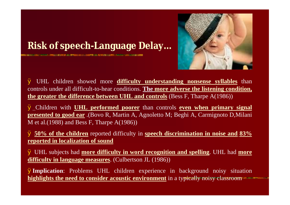

# **Risk of speech-Language Delay…**

**RESULTING AND RESIDENT CONTROLS AND CONTROLS CONTROLS AND RESIDENCE** 

Ø UHL children showed more **difficulty understanding nonsense syllables** than controls under all difficult-to-hear conditions. **The more adverse the listening condition, the greater the difference between UHL and controls** (Bess F, Tharpe A(1986))

Ø Children with **UHL performed poorer** than controls **even when primary signal presented to good ear** .(Bovo R, Martin A, Agnoletto M; Beghi A, Carmignoto D,Milani M et al.(1988) and Bess F, Tharpe A(1986))

Ø **50% of the children** reported difficulty in **speech discrimination in noise and 83% reported in localization of sound**

Ø UHL subjects had **more difficulty in word recognition and spelling**. UHL had **more difficulty in language measures**. (Culbertson JL (1986))

Ø**Implication**: Problems UHL children experience in background noisy situation **highlights the need to consider acoustic environment** in a typically noisy classroom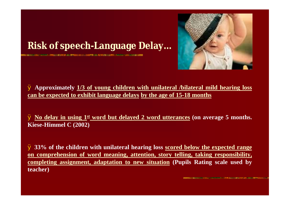

# **Risk of speech-Language Delay…**

**SINGLES CONTINUES IN THE REPORT OF A 40 YEAR OLD A SHOW AND CONTINUES.** 

Ø **Approximately 1/3 of young children with unilateral /bilateral mild hearing loss can be expected to exhibit language delays by the age of 15-18 months**

Ø **No delay in using 1st word but delayed 2 word utterances (on average 5 months. Kiese-Himmel C (2002)**

Ø **33% of the children with unilateral hearing loss scored below the expected range on comprehension of word meaning, attention, story telling, taking responsibility, completing assignment, adaptation to new situation (Pupils Rating scale used by teacher)**

**STARTING CONTINUES OF PERSONAL COPY ASSOCIATE CONTINUES OF PERSONAL PROPERTY**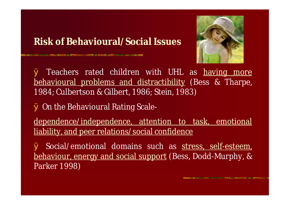## **Risk of Behavioural/Social Issues**



Ø On the Behavioural Rating Scale-

**SING TO BE THE CONFIDENTIAL AND A REPORT OF A SINGLE SIX CONFIDENTIAL AND CONFIDENTIAL CONFIDENTIAL CONFIDENTI** 

dependence/independence, attention to task, emotional liability, and peer relations/social confidence

Ø Social/emotional domains such as stress, self-esteem, behaviour, energy and social support (Bess, Dodd-Murphy, & Parker 1998)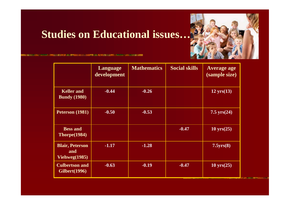

# **Studies on Educational issues…**

**IN 1998 TO AND ART WHILE AND LOCATED TO A CONTRACT AND THE REPORT OF A CONSTRUCTION OF A CONSTRUCTION** 

|                                                | Language<br>development | <b>Mathematics</b> | <b>Social skills</b> | <b>Average age</b><br>(sample size) |
|------------------------------------------------|-------------------------|--------------------|----------------------|-------------------------------------|
| <b>Keller</b> and<br><b>Bundy</b> (1980)       | $-0.44$                 | $-0.26$            |                      | $12 \text{ yrs}(13)$                |
| Peterson (1981)                                | $-0.50$                 | $-0.53$            |                      | 7.5 $yrs(24)$                       |
| <b>Bess and</b><br>Thorpe(1984)                |                         |                    | $-0.47$              | $10 \text{ yrs}(25)$                |
| <b>Blair, Peterson</b><br>and<br>Vichweg(1985) | $-1.17$                 | $-1.28$            |                      | 7.5yrs(8)                           |
| <b>Culbertson and</b><br><b>Gilbert</b> (1996) | $-0.63$                 | $-0.19$            | $-0.47$              | $10 \text{ yrs}(25)$                |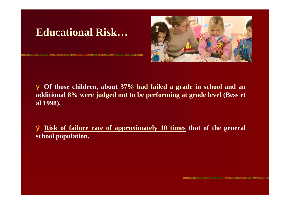# **Educational Risk…**



Ø **Of those children, about 37% had failed a grade in school and an additional 8% were judged not to be performing at grade level (Bess et al 1998).**

Ø **Risk of failure rate of approximately 10 times that of the general school population.**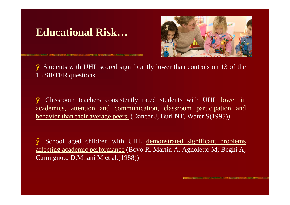## **Educational Risk…**



Management and the process of the control of the Control of the Control of the Control of the Control of the Control of

Ø Students with UHL scored significantly lower than controls on 13 of the 15 SIFTER questions.

Ø Classroom teachers consistently rated students with UHL lower in academics, attention and communication, classroom participation and behavior than their average peers. (Dancer J, Burl NT, Water S(1995))

Ø School aged children with UHL demonstrated significant problems affecting academic performance (Bovo R, Martin A, Agnoletto M; Beghi A, Carmignoto D,Milani M et al.(1988))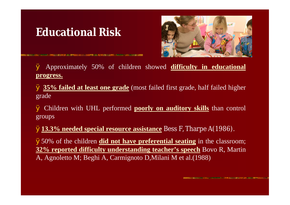# **Educational Risk**



Ø Approximately 50% of children showed **difficulty in educational progress.**

Ø **35% failed at least one grade** (most failed first grade, half failed higher grade

Ø Children with UHL performed **poorly on auditory skills** than control groups

Ø**13.3% needed special resource assistance** Bess F, Tharpe A(1986).

Ø50% of the children **did not have preferential seating** in the classroom; **32% reported difficulty understanding teacher's speech** Bovo R, Martin A, Agnoletto M; Beghi A, Carmignoto D,Milani M et al.(1988)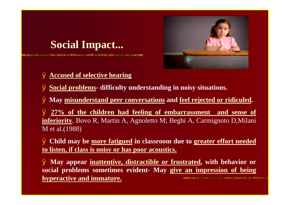# **Social Impact...**

**NUMBER OF STREET IN CONTRACTOR** 



#### Ø **Accused of selective hearing**

Ø **Social problems- difficulty understanding in noisy situations.**

Ø **May misunderstand peer conversations and feel rejected or ridiculed.**

Ø **27% of the children had feeling of embarrassment and sense of inferiority.** Bovo R, Martin A, Agnoletto M; Beghi A, Carmignoto D,Milani M et al.(1988)

Ø **Child may be more fatigued in classroom due to greater effort needed to listen, if class is noisy or has poor acoustics.**

Ø **May appear inattentive, distractible or frustrated, with behavior or social problems sometimes evident- May give an impression of being hyperactive and immature.**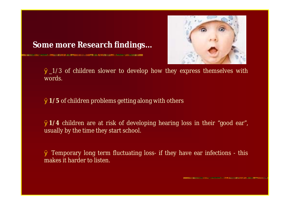

#### **Some more Research findings…**

 $\emptyset$  1/3 of children slower to develop how they express themselves with words.

Ø**1/5** of children problems getting along with others

**SUBSIDIARY AND RESIDENTS AND STRUCK OF A STATE OF A STATE OF A STATE OF A STATE OF A STATE OF A STATE OF A ST** 

Ø**1/4** children are at risk of developing hearing loss in their "good ear", usually by the time they start school.

Ø Temporary long term fluctuating loss- if they have ear infections - this makes it harder to listen.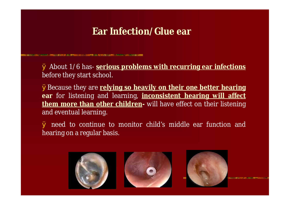### **Ear Infection/Glue ear**

**DRIVER AND ARRESTS WAS SERVED AND MAKES A HUBBLE RANGES** 

Ø About 1/6 has- **serious problems with recurring ear infections** before they start school.

ØBecause they are **relying so heavily on their one better hearing ear** for listening and learning, **inconsistent hearing will affect them more than other children-** will have effect on their listening and eventual learning.

Ø need to continue to monitor child's middle ear function and hearing on a regular basis.





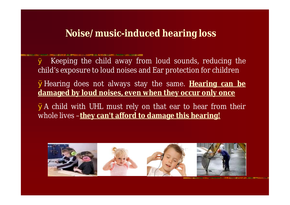### **Noise/music-induced hearing loss**

Ø Keeping the child away from loud sounds, reducing the child's exposure to loud noises and Ear protection for children

ØHearing does not always stay the same. **Hearing can be damaged by loud noises, even when they occur only once**

ØA child with UHL must rely on that ear to hear from their whole lives –**they can't afford to damage this hearing!**

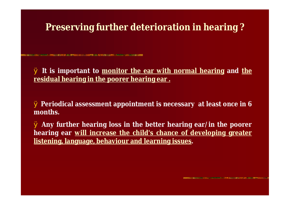## **Preserving further deterioration in hearing ?**

**SE DE JA KONFINSO NO SOMETI ZA ALTIGRAZI ELO NA**TIGI VARIO SORE

Ø **It is important to monitor the ear with normal hearing and the residual hearing in the poorer hearing ear .**

Ø **Periodical assessment appointment is necessary at least once in 6 months.**

Ø **Any further hearing loss in the better hearing ear/in the poorer hearing ear will increase the child's chance of developing greater listening, language, behaviour and learning issues.**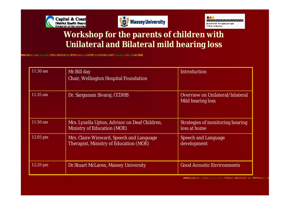





#### **Workshop for the parents of children with Unilateral and Bilateral mild hearing loss**

**「そうない」のあたっては、この人には、私にも自分を受けていた。この場所で、この場所で、この人にも、この人にも、この人にも、この人は、この人は、この人にも、この人にも、この人にも、この人にも、この人にも、この人にも、この人にも、この人にも、この人にも、この人にも、この人にも、この人にも、この人にも、この人にも、この人にも、この人にも、この人にも、この人にも、この人にも** 

| 11.30 am | Mr.Bill day<br>Chair, Wellington Hospital Foundation                               | Introduction                                          |
|----------|------------------------------------------------------------------------------------|-------------------------------------------------------|
| 11.35 am | Dr. Sargunam Sivaraj, CCDHB                                                        | Overview on Unilateral/bilateral<br>Mild hearing loss |
| 11.50 am | Mrs. Lynella Upton, Advisor on Deaf Children,<br>Ministry of Education (MOE)       | Strategies of monitoring hearing<br>loss at home      |
| 12.05 pm | Mrs. Claire Winward, Speech and Language<br>Therapist, Ministry of Education (MOE) | Speech and Language<br>development                    |
| 12.20 pm | Dr. Stuart McLaren, Massey University                                              | <b>Good Acoustic Environments</b>                     |

**INSTANCE AND THE RESIDENCE OF A PERSON AND THE BASIC AND A DISCOVERY OF A REPORT OF A REAL PROPERTY.**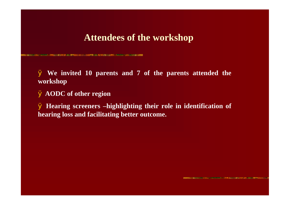#### **Attendees of the workshop**

Ø **We invited 10 parents and 7 of the parents attended the workshop**

Ø **AODC of other region**

**SING TO BE AN ADDRESS AND A MONTH ON THE RESIDENCE OF A STATE OF A STATE OF A STATE OF A STATE OF A STATE OF A** 

Ø **Hearing screeners –highlighting their role in identification of hearing loss and facilitating better outcome.**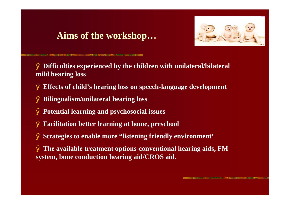### **Aims of the workshop…**



**NE DIA 1921 ANY ANIMAL ANG LATING MANUFACTIC AND ANY INCOME IN STATE AND A MARKET OF THE REPORTING AND** 

Ø **Difficulties experienced by the children with unilateral/bilateral mild hearing loss**

- Ø **Effects of child's hearing loss on speech-language development**
- Ø **Bilingualism/unilateral hearing loss**
- Ø **Potential learning and psychosocial issues**
- Ø **Facilitation better learning at home, preschool**
- Ø **Strategies to enable more "listening friendly environment'**
- Ø **The available treatment options-conventional hearing aids, FM system, bone conduction hearing aid/CROS aid.**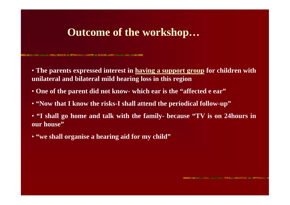## **Outcome of the workshop…**

OF THE CONFIDENTIAL CONTINUES IN A RELEASED FOR THE CONFIDENTIAL CONTINUES. AND LOCATED AT LOCATED AND CONFIDENT

- **The parents expressed interest in having a support group for children with unilateral and bilateral mild hearing loss in this region**
- **One of the parent did not know- which ear is the "affected e ear"**
- **"Now that I know the risks-I shall attend the periodical follow-up"**
- **"I shall go home and talk with the family- because "TV is on 24hours in our house"**
- **"we shall organise a hearing aid for my child"**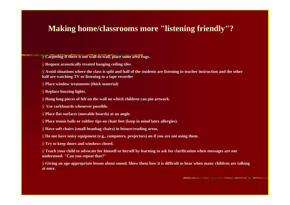#### **Making home/classrooms more "listening friendly"?**

Ø**Carpeting-if there is not wall-to-wall, place some area rugs.**

Ø**Request acoustically treated hanging ceiling tiles**

Ø**Avoid situations where the class is split and half of the students are listening to teacher instruction and the other half are watching TV or listening to a tape recorder**

Ø**Place window treatments (thick material)**

Ø**Replace buzzing lights.**

Ø**Hang long pieces of felt on the wall on which children can pin artwork.**

Ø **Use corkboards whenever possible.**

Ø**Place flat surfaces (movable boards) at an angle.**

Ø**Place tennis balls or rubber tips on chair feet (keep in mind latex allergies).**

Ø**Have soft chairs (small beanbag chairs) in leisure/reading areas.**

Ø**Do not have noisy equipment (e.g., computers, projectors) on if you are not using them.**

Ø**Try to keep doors and windows closed.**

Ø**Teach your child to advocate for himself or herself by learning to ask for clarification when messages are not understood: "Can you repeat that?"**

Ø**Giving an age-appropriate lesson about sound. Show them how it is difficult to hear when many children are talking at once.**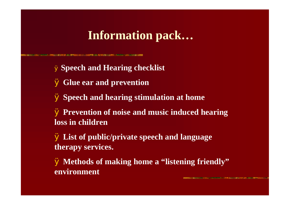# **Information pack…**

**PARTICULAR SERVICE DESCRIPTION AND LA COMMUNISTIE AND DESCRIPTION** 

Ø **Speech and Hearing checklist** Ø **Glue ear and prevention** Ø **Speech and hearing stimulation at home** Ø **Prevention of noise and music induced hearing loss in children** Ø **List of public/private speech and language therapy services.** Ø **Methods of making home a "listening friendly" environment**

NAME AND DESCRIPTIONS OF PERSONS ASSESSED. AND POST OFFICE ADDRESS OF THE RESIDENCE OF THE RESIDENCE OF THE RESIDENCE OF THE RESIDENCE OF THE RESIDENCE OF THE RESIDENCE OF THE RESIDENCE OF THE RESIDENCE OF THE RESIDENCE OF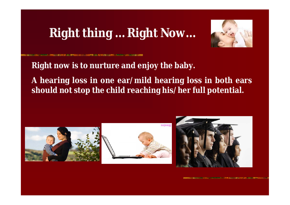# **Right thing … Right Now…**



**Right now is to nurture and enjoy the baby.**

**A hearing loss in one ear/mild hearing loss in both ears should not stop the child reaching his/her full potential.**